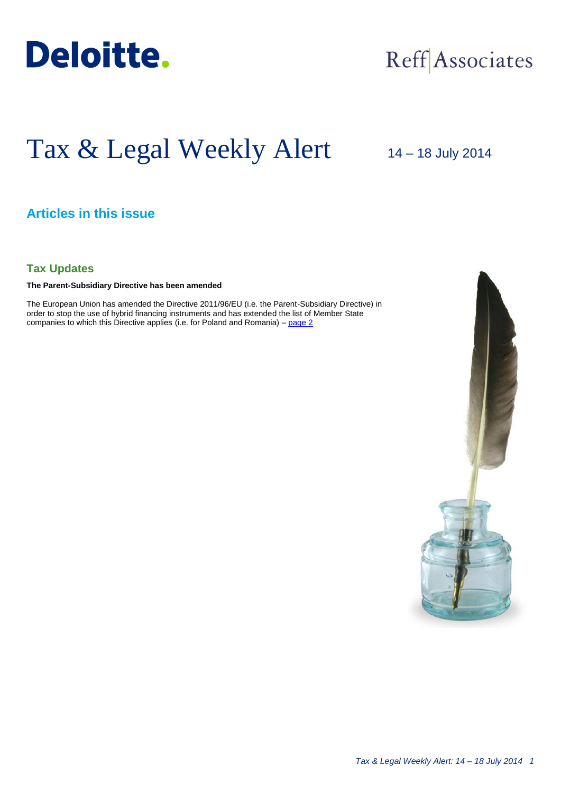

# Reff Associates

# Tax & Legal Weekly Alert

14 – 18 July 2014

## **Articles in this issue**

#### **Tax Updates**

**The Parent-Subsidiary Directive has been amended**

The European Union has amended the Directive 2011/96/EU (i.e. the Parent-Subsidiary Directive) in order to stop the use of hybrid financing instruments and has extended the list of Member State companies to which this Directive applies (i.e. for Poland and Romania) – [page 2](#page-1-0)

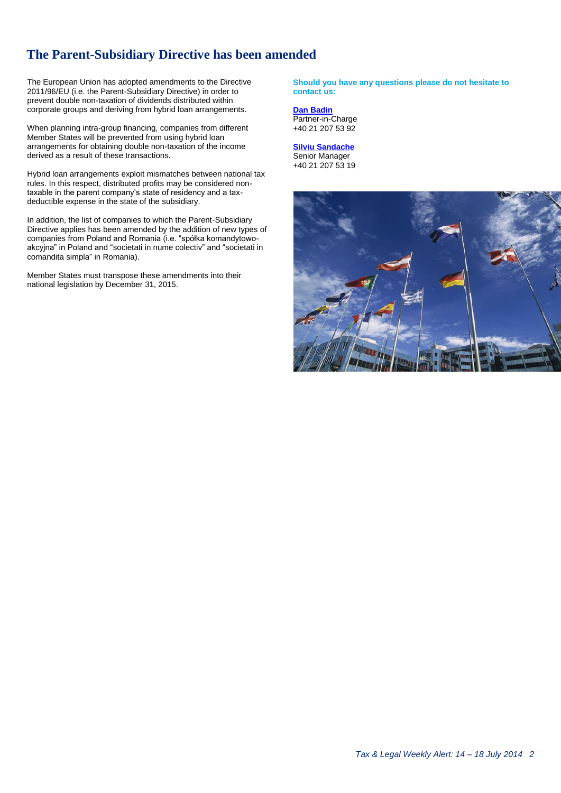### **The Parent-Subsidiary Directive has been amended**

The European Union has adopted amendments to the Directive 2011/96/EU (i.e. the Parent-Subsidiary Directive) in order to prevent double non-taxation of dividends distributed within corporate groups and deriving from hybrid loan arrangements.

When planning intra-group financing, companies from different Member States will be prevented from using hybrid loan arrangements for obtaining double non-taxation of the income derived as a result of these transactions.

Hybrid loan arrangements exploit mismatches between national tax rules. In this respect, distributed profits may be considered nontaxable in the parent company's state of residency and a taxdeductible expense in the state of the subsidiary.

In addition, the list of companies to which the Parent-Subsidiary Directive applies has been amended by the addition of new types of companies from Poland and Romania (i.e. "spółka komandytowoakcyjna" in Poland and "societati in nume colectiv" and "societati in comandita simpla" in Romania).

Member States must transpose these amendments into their national legislation by December 31, 2015.

#### <span id="page-1-0"></span>**Should you have any questions please do not hesitate to contact us:**

**[Dan Badin](mailto:dbadin@deloittece.com)** Partner-in-Charge +40 21 207 53 92

**[Silviu Sandache](mailto:ssandache@deloittece.com)** Senior Manager +40 21 207 53 19